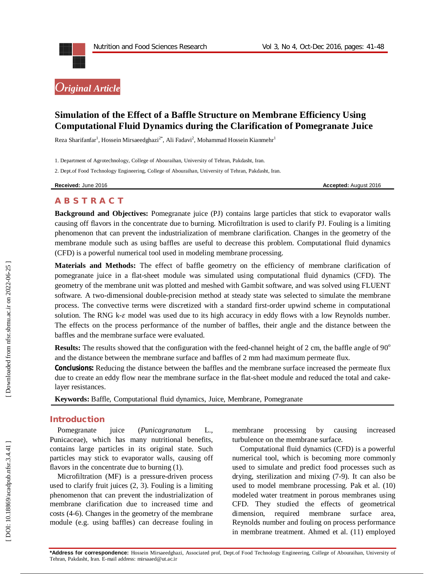

# **Simulation of the Effect of a Baffle Structure on Membrane Efficiency Using Computational Fluid Dynamics during the Clarification of Pomegranate Juice**

Reza Sharifanfar<sup>1</sup>, Hossein Mirsaeedghazi<sup>2\*</sup>, Ali Fadavi<sup>2</sup>, Mohammad Hossein Kianmehr<sup>1</sup>

1. Department of Agrotechnology, College of Abouraihan, University of Tehran, Pakdasht, Iran.

2. Dept.of Food Technology Engineering, College of Abouraihan, University of Tehran, Pakdasht, Iran.

**Received:** June 201

6 **Accepted:** August 201 6

## **A B S T R A C T**

**Background and Objectives:** Pomegranate juice (PJ) contains large particles that stick to evaporator walls causing off flavors in the concentrate due to burning. Microfiltration is used to clarify PJ. Fouling is a limiting phenomenon that can prevent the industrialization of membrane clarification. Changes in the geometry of the membrane module such as using baffles are useful to decrease this problem. Computational fluid dynamics (CFD) is a powerful numerical tool used in modeling membrane processing.

**Materials and Methods:** The effect of baffle geometry on the efficiency of membrane clarification of pomegranate juice in a flat -sheet module was simulated using computational fluid dynamics (CFD). The geometry of the membrane unit was plotted and meshed with Gambit software, and was solved using FLUENT software. A two -dimensional double -precision method at steady state was selected to simulate the membrane process. The convective terms were discretized with a standard first -order upwind scheme in computational solution. The RNG k- $\varepsilon$  model was used due to its high accuracy in eddy flows with a low Reynolds number. The effects on the process performance of the number of baffles, their angle and the distance between the baffles and the membrane surface were evaluated.

Results: The results showed that the configuration with the feed-channel height of 2 cm, the baffle angle of 90° and the distance between the membrane surface and baffles of 2 mm had maximum permeate flux.

**Conclusions:** Reducing the distance between the baffles and the membrane surface increased the permeate flux due to create an eddy flow near the membrane surface in the flat -sheet module and reduced the total and cake layer resistances.

**Keywords:** Baffle, Computational fluid dynamics, Juice, Membrane, Pomegranate

## **Introduction**

Pomegranate juice (*Punicagranatum* L.*,*  Punicaceae), which has many nutritional benefits, contains large particles in its original state. Such particles may stick to evaporator walls, causing off flavors in the concentrate due to burning (1).

Microfiltration (MF) is a pressure -driven process used to clarify fruit juices (2, 3). Fouling is a limiting phenomenon that can prevent the industrialization of membrane clarification due to increased time and costs ( 4 -6). Changes in the geometry of the membrane module (e.g. using baffles) can decrease fouling in

membrane processing by causing increased turbulence on the membrane surface.

Computational fluid dynamics (CFD) is a powerful numerical tool, which is becoming more commonly used to simulate and predict food processes such as drying, sterilization and mixing (7 -9). It can also be used to model membrane processing. Pak et al. (10) modeled water treatment in porous membranes using CFD. They studied the effects of geometrical dimension, required membrane surface area, Reynolds number and fouling on process performance in membrane treatment. Ahmed et al. (11) employed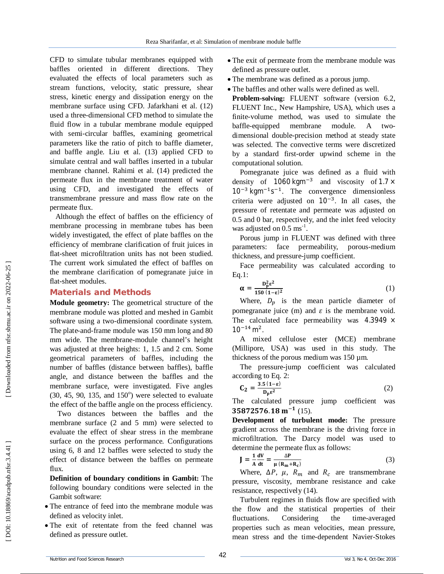CFD to simulate tubular membranes equipped with baffles oriented in different directions. They evaluated the effects of local parameters such as stream functions, velocity, static pressure, shear stress, kinetic energy and dissipation energy on the membrane surface using CFD. Jafarkhani et al. (12) used a three -dimensional CFD method to simulate the fluid flow in a tubular membrane module equipped with semi -circular baffles, examining geometrical parameters like the ratio of pitch to baffle diameter, and baffle angle. Liu et al. (13) applied CFD to simulate central and wall baffles inserted in a tubular membrane channel. Rahimi et al. (14) predicted the permeate flux in the membrane treatment of water using CFD, and investigated the effects of transmembrane pressure and mass flow rate on the permeate flux.

Although the effect of baffles on the efficiency of membrane processing in membrane tubes has been widely investigated, the effect of plate baffles on the efficiency of membrane clarification of fruit juices in flat -sheet microfiltration units has not been studied. The current work simulated the effect of baffles on the membrane clarification of pomegranate juice in flat -sheet modules.

## **Materials and Methods**

**Module geometry:** The geometrical structure of the membrane module was plotted and meshed in Gambit software using a two -dimensional coordinate system. The plate -and -frame module was 150 mm long and 80 mm wide. The membrane -module channel's height was adjusted at three heights: 1, 1.5 and 2 cm. Some geometrical parameters of baffles, including the number of baffles (distance between baffles), baffle angle, and distance between the baffles and the membrane surface, were investigated. Five angles  $(30, 45, 90, 135, and 150<sup>o</sup>)$  were selected to evaluate the effect of the baffle angle on the process efficiency.

Two distances between the baffles and the membrane surface (2 and 5 mm) were selected to evaluate the effect of shear stress in the membrane surface on the process performance. Configurations using 6, 8 and 12 baffles were selected to study the effect of distance between the baffles on permeate flux.

**Definition of boundary conditions in Gambit:** The following boundary conditions were selected in the Gambit software:

- The entrance of feed into the membrane module was defined as velocity inlet.
- The exit of retentate from the feed channel was defined as pressure outlet.
- The exit of permeate from the membrane module was defined as pressure outlet.
- The membrane was defined as a porous jump.
- The baffles and other walls were defined as well.

**Problem - solving:** FLUENT software (version 6.2, FLUENT Inc., New Hampshire, USA), which uses a finite -volume method, was used to simulate the baffle membrane module. A twodimensional double -precision method at steady state was selected. The convective terms were discretized by a standard first -order upwind scheme in the computational solution.

Pomegranate juice was defined as a fluid with density of  $1060 \text{ kgm}^{-3}$  and viscosity of  $1.7 \times$  $10^{-3}$  kgm<sup> $-1$ </sup>s<sup> $-1$ </sup>. The convergence dimensionless criteria were adjusted on  $10^{-3}$ . In all cases, the pressure of retentate and permeate was adjusted on 0.5 and 0 bar, respectively, and the inlet feed velocity was adjusted on  $0.5 \text{ ms}^{-1}$ .

Porous jump in FLUENT was defined with three parameters: face permeability, porous-medium thickness, and pressure -jump coefficient.

Face permeability was calculated according to Eq.1:

$$
\alpha = \frac{D_p^2 \epsilon^2}{150 (1 - \epsilon)^2} \tag{1}
$$

Where,  $D_p$  is the mean particle diameter of pomegranate juice (m) and  $\varepsilon$  is the membrane void. The calculated face permeability was  $4.3949 \times$  $10^{-14}$  m<sup>2</sup>.

A mixed cellulose ester (MCE) membrane (Millipore, USA) was used in this study. The thickness of the porous medium was  $150 \mu m$ .

The pressure -jump coefficient was calculated according to Eq. 2:

$$
\mathbf{C}_2 = \frac{3.5 \, (1 - \varepsilon)}{\mathbf{D}_p \varepsilon^2} \tag{2}
$$

The calculated pressure jump coefficient was  $35872576.18 \text{ m}^{-1}$  (15).

**Development of turbulent mode:** The pressure gradient across the membrane is the driving force in microfiltration. The Darcy model was used to determine the permeate flux as follows:

$$
\mathbf{J} = \frac{1}{\mathbf{A}} \frac{dV}{dt} = \frac{\Delta P}{\mu (R_m + R_c)}\tag{3}
$$

Where,  $\Delta P$ ,  $\mu$ ,  $R_m$  and  $R_c$  are transmembrane pressure, viscosity, membrane resistance and cake resistance, respectively (14).

Turbulent regimes in fluids flow are specified with the flow and the statistical properties of their fluctuations. Considering the time-averaged properties such as mean velocities, mean pressure, mean stress and the time -dependent Navier -Stokes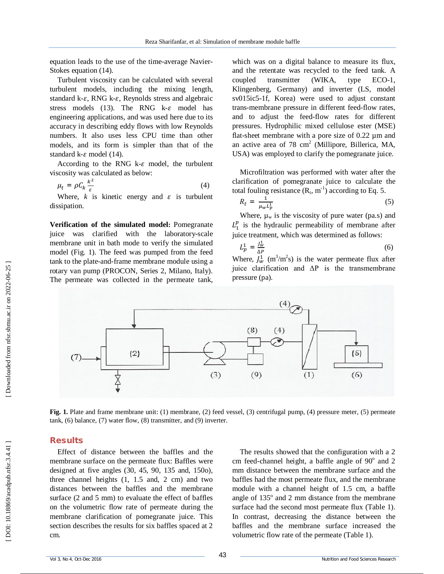equation leads to the use of the time-average Navier-Stokes equation (14).

Turbulent viscosity can be calculated with several turbulent models, including the mixing length, standard k- $\varepsilon$ , RNG k- $\varepsilon$ , Reynolds stress and algebraic stress models  $(13)$ . The RNG k- $\varepsilon$  model has engineering applications, and was used here due to its accuracy in describing eddy flows with low Reynolds numbers. It also uses less CPU time than other models, and its form is simpler than that of the standard  $k$ - $\varepsilon$  model (14).

According to the RNG  $k$ - $\varepsilon$  model, the turbulent viscosity was calculated as below:

$$
\mu_t = \rho C_k \frac{k^2}{\varepsilon} \tag{4}
$$

Where,  $k$  is kinetic energy and  $\varepsilon$  is turbulent dissipation.

**Verification of the simulated model:** Pomegranate juice was clarified with the laboratory -scale membrane unit in bath mode to verify the simulated model (Fig. 1). The feed was pumped from the feed tank to the plate -and -frame membrane module using a rotary van pump (PROCON, Series 2, Milano, Italy). The permeate was collected in the permeate tank,

which was on a digital balance to measure its flux, and the retentate was recycled to the feed tank. A coupled transmitter (WIKA, type  $ECO-1$ , Klingenberg, Germany) and inverter (LS, model sv015ic5 -1f, Korea) were used to adjust constant trans -membrane pressure in different feed -flow rates, and to adjust the feed -flow rates for different pressures. Hydrophilic mixed cellulose ester (MSE) flat -sheet membrane with a pore size of 0.22 µm and an active area of 78 cm 2 (Millipore, Billerica, MA, USA) was employed to clarify the pomegranate juice.

Microfiltration was performed with water after the clarification of pomegranate juice to calculate the total fouling resistance  $(R_t, m^{-1})$  according to Eq. 5.

$$
R_t = \frac{1}{\mu_w L_p^1} \tag{5}
$$

Where,  $\mu_w$  is the viscosity of pure water (pa.s) and  $L_1^p$  is the hydraulic permeability of membrane after juice treatment, which was determined as follows:

 $L_p^1 = \frac{J_w^1}{\Delta P}$  (6) Where,  $J_w^1$  (m<sup>3</sup>/m<sup>2</sup>s) is the water permeate flux after

juice clarification and  $\Delta P$  is the transmembrane pressure (pa).



**Fig. 1.** Plate and frame membrane unit: (1) membrane, (2) feed vessel, (3) centrifugal pump, (4) pressure meter, (5) permeate tank, (6) balance, (7) water flow, (8) transmitter, and (9) inverter.

### **Results**

Effect of distance between the baffles and the membrane surface on the permeate flux: Baffles were designed at five angles (30, 45, 90, 135 and, 150o), three channel heights (1, 1.5 and, 2 cm) and two distances between the baffles and the membrane surface (2 and 5 mm) to evaluate the effect of baffles on the volumetric flow rate of permeate during the membrane clarification of pomegranate juice. This section describes the results for six baffles spaced at 2 cm.

The results showed that the configuration with a 2 cm feed-channel height, a baffle angle of 90° and 2 mm distance between the membrane surface and the baffles had the most permeate flux, and the membrane module with a channel height of 1.5 cm, a baffle angle of 135° and 2 mm distance from the membrane surface had the second most permeate flux (Table 1). In contrast, decreasing the distance between the baffles and the membrane surface increased the volumetric flow rate of the permeate (Table 1).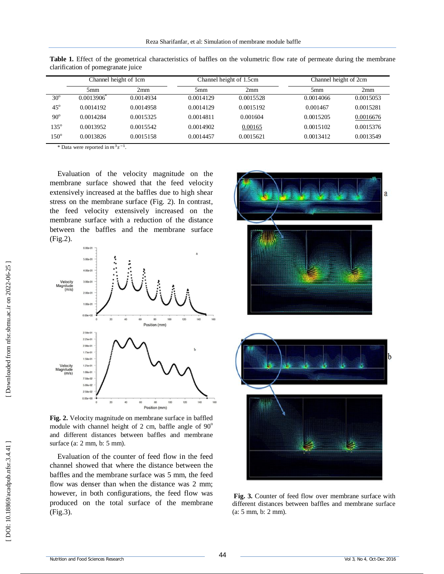|               | Channel height of 1cm |           | Channel height of 1.5cm |           | Channel height of 2cm |           |
|---------------|-----------------------|-----------|-------------------------|-----------|-----------------------|-----------|
|               | 5 <sub>mm</sub>       | 2mm       | 5mm                     | 2mm       | 5 <sub>mm</sub>       | 2mm       |
| $30^\circ$    | $0.0013906^{\circ}$   | 0.0014934 | 0.0014129               | 0.0015528 | 0.0014066             | 0.0015053 |
| $45^\circ$    | 0.0014192             | 0.0014958 | 0.0014129               | 0.0015192 | 0.001467              | 0.0015281 |
| $90^\circ$    | 0.0014284             | 0.0015325 | 0.0014811               | 0.001604  | 0.0015205             | 0.0016676 |
| $135^{\circ}$ | 0.0013952             | 0.0015542 | 0.0014902               | 0.00165   | 0.0015102             | 0.0015376 |
| $150^{\circ}$ | 0.0013826             | 0.0015158 | 0.0014457               | 0.0015621 | 0.0013412             | 0.0013549 |

Table 1. Effect of the geometrical characteristics of baffles on the volumetric flow rate of permeate during the membrane clarification of pomegranate juice

\* Data were reported in  $m^3 s^{-1}$ .

Evaluation of the velocity magnitude on the membrane surface showed that the feed velocity extensively increased at the baffles due to high shear stress on the membrane surface (Fig. 2). In contrast, the feed velocity extensively increased on the membrane surface with a reduction of the distance between the baffles and the membrane surface (Fig. 2).



**Fig. 2.** Velocity magnitude on membrane surface in baffled module with channel height of  $2 \text{ cm}$ , baffle angle of  $90^\circ$ and different distances between baffles and membrane surface (a: 2 mm, b: 5 mm).

Evaluation of the counter of feed flow in the feed channel showed that where the distance between the baffles and the membrane surface was 5 mm, the feed flow was denser than when the distance was 2 mm; however, in both configurations, the feed flow was produced on the total surface of the membrane (Fig.3).





**Fig. 3.** Counter of feed flow over membrane surface with different distances between baffles and membrane surface (a: 5 mm, b: 2 mm).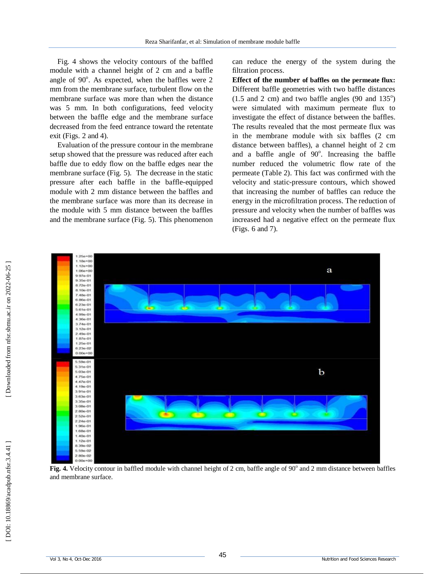Fig. 4 shows the velocity contours of the baffled module with a channel height of 2 cm and a baffle angle of 90°. As expected, when the baffles were 2 mm from the membrane surface, turbulent flow on the membrane surface was more than when the distance was 5 mm. In both configurations, feed velocity between the baffle edge and the membrane surface decreased from the feed entrance toward the retentate exit (Figs. 2 and 4).

Evaluation of the pressure contour in the membrane setup showed that the pressure was reduced after each baffle due to eddy flow on the baffle edges near the membrane surface (Fig. 5). The decrease in the static pressure after each baffle in the baffle -equipped module with 2 mm distance between the baffles and the membrane surface was more than its decrease in the module with 5 mm distance between the baffles and the membrane surface (Fig. 5). This phenomenon

can reduce the energy of the system during the filtration process.

**Effect of the number of baffles on the permeate flux:**  Different baffle geometries with two baffle distances  $(1.5 \text{ and } 2 \text{ cm})$  and two baffle angles  $(90 \text{ and } 135^{\circ})$ were simulated with maximum permeate flux to investigate the effect of distance between the baffles. The results revealed that the most permeate flux was in the membrane module with six baffles (2 cm distance between baffles), a channel height of 2 cm and a baffle angle of 90°. Increasing the baffle number reduced the volumetric flow rate of the permeate (Table 2). This fact was confirmed with the velocity and static -pressure contours, which showed that increasing the number of baffles can reduce the energy in the microfiltration process. The reduction of pressure and velocity when the number of baffles was increased had a negative effect on the permeate flux (Figs. 6 and 7).



Fig. 4. Velocity contour in baffled module with channel height of 2 cm, baffle angle of 90° and 2 mm distance between baffles and membrane surface.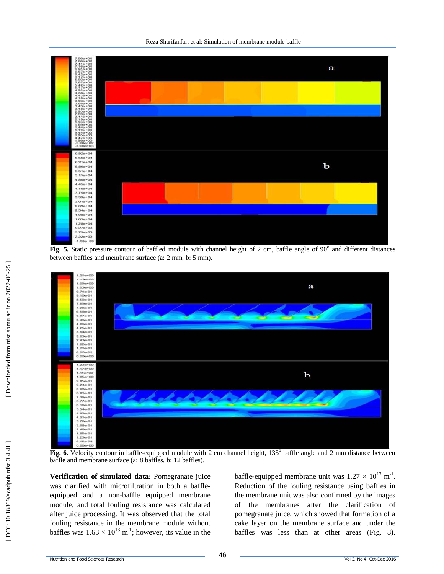Reza Sharifanfar, et al: Simulation of membrane module baffle



Fig. 5. Static pressure contour of baffled module with channel height of 2 cm, baffle angle of 90° and different distances between baffles and membrane surface (a: 2 mm, b: 5 mm).



Fig. 6. Velocity contour in baffle-equipped module with 2 cm channel height, 135° baffle angle and 2 mm distance between baffle and membrane surface (a: 8 baffles, b: 12 baffles).

**Verification of simulated data:** Pomegranate juice was clarified with microfiltration in both a baffle equipped and a non -baffle equipped membrane module, and total fouling resistance was calculated after juice processing. It was observed that the total fouling resistance in the membrane module without baffles was  $1.63 \times 10^{13}$  m<sup>-1</sup>; however, its value in the

baffle-equipped membrane unit was  $1.27 \times 10^{13}$  m<sup>-1</sup>. Reduction of the fouling resistance using baffles in the membrane unit was also confirmed by the images of the membranes after the clarification of pomegranate juice, which showed that formation of a cake layer on the membrane surface and under the baffles was less than at other areas (Fig. 8).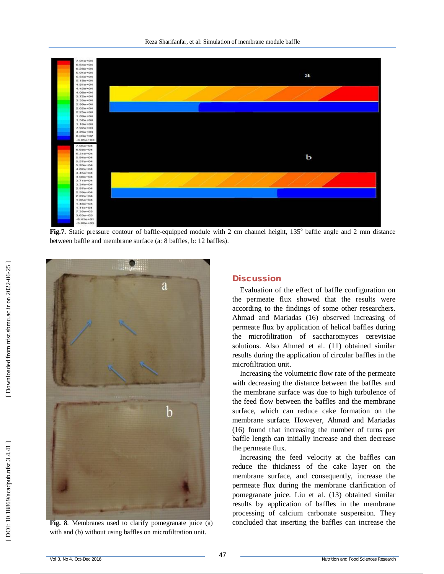

Fig.7. Static pressure contour of baffle-equipped module with 2 cm channel height, 135° baffle angle and 2 mm distance between baffle and membrane surface (a: 8 baffles, b: 12 baffles).



**Fig. 8**. Membranes used to clarify pomegranate juice (a) with and (b) without using baffles on microfiltration unit.

### **Discussion**

Evaluation of the effect of baffle configuration on the permeate flux showed that the results were according to the findings of some other researchers. Ahmad and Mariadas (16) observed increasing of permeate flux by application of helical baffles during the microfiltration of saccharomyces cerevisiae solutions. Also Ahmed et al. (11) obtained similar results during the application of circular baffles in the microfiltration unit.

Increasing the volumetric flow rate of the permeate with decreasing the distance between the baffles and the membrane surface was due to high turbulence of the feed flow between the baffles and the membrane surface, which can reduce cake formation on the membrane surface. However, Ahmad and Mariadas (16) found that increasing the number of turns per baffle length can initially increase and then decrease the permeate flux.

Increasing the feed velocity at the baffles can reduce the thickness of the cake layer on the membrane surface, and consequently, increase the permeate flux during the membrane clarification of pomegranate juice. Liu et al. (13) obtained similar results by application of baffles in the membrane processing of calcium carbonate suspension. They concluded that inserting the baffles can increase the